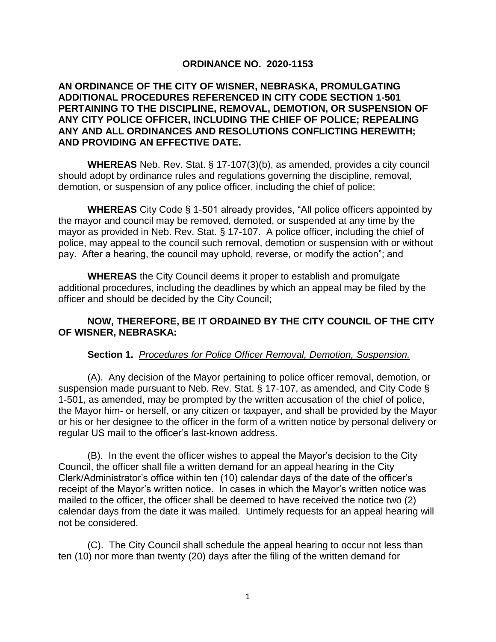## **ORDINANCE NO. 2020-1153**

## **AN ORDINANCE OF THE CITY OF WISNER, NEBRASKA, PROMULGATING ADDITIONAL PROCEDURES REFERENCED IN CITY CODE SECTION 1-501 PERTAINING TO THE DISCIPLINE, REMOVAL, DEMOTION, OR SUSPENSION OF ANY CITY POLICE OFFICER, INCLUDING THE CHIEF OF POLICE; REPEALING ANY AND ALL ORDINANCES AND RESOLUTIONS CONFLICTING HEREWITH; AND PROVIDING AN EFFECTIVE DATE.**

**WHEREAS** Neb. Rev. Stat. § 17-107(3)(b), as amended, provides a city council should adopt by ordinance rules and regulations governing the discipline, removal, demotion, or suspension of any police officer, including the chief of police;

**WHEREAS** City Code § 1-501 already provides, "All police officers appointed by the mayor and council may be removed, demoted, or suspended at any time by the mayor as provided in Neb. Rev. Stat. § 17-107. A police officer, including the chief of police, may appeal to the council such removal, demotion or suspension with or without pay. After a hearing, the council may uphold, reverse, or modify the action"; and

**WHEREAS** the City Council deems it proper to establish and promulgate additional procedures, including the deadlines by which an appeal may be filed by the officer and should be decided by the City Council;

## **NOW, THEREFORE, BE IT ORDAINED BY THE CITY COUNCIL OF THE CITY OF WISNER, NEBRASKA:**

## **Section 1.** *Procedures for Police Officer Removal, Demotion, Suspension.*

(A). Any decision of the Mayor pertaining to police officer removal, demotion, or suspension made pursuant to Neb. Rev. Stat. § 17-107, as amended, and City Code § 1-501, as amended, may be prompted by the written accusation of the chief of police, the Mayor him- or herself, or any citizen or taxpayer, and shall be provided by the Mayor or his or her designee to the officer in the form of a written notice by personal delivery or regular US mail to the officer's last-known address.

(B). In the event the officer wishes to appeal the Mayor's decision to the City Council, the officer shall file a written demand for an appeal hearing in the City Clerk/Administrator's office within ten (10) calendar days of the date of the officer's receipt of the Mayor's written notice. In cases in which the Mayor's written notice was mailed to the officer, the officer shall be deemed to have received the notice two (2) calendar days from the date it was mailed. Untimely requests for an appeal hearing will not be considered.

(C). The City Council shall schedule the appeal hearing to occur not less than ten (10) nor more than twenty (20) days after the filing of the written demand for